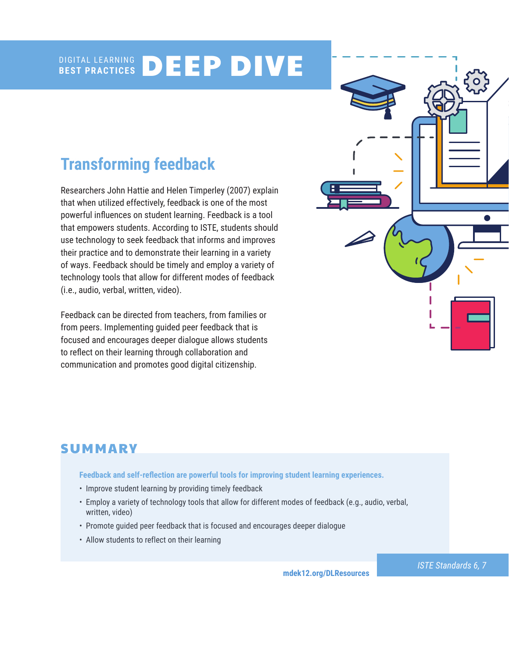#### DIGITAL LEARNING **BEST PRACTICES** DEEP DIVE

# **Transforming feedback**

Researchers John Hattie and Helen Timperley (2007) explain that when utilized effectively, feedback is one of the most powerful influences on student learning. Feedback is a tool that empowers students. According to ISTE, students should use technology to seek feedback that informs and improves their practice and to demonstrate their learning in a variety of ways. Feedback should be timely and employ a variety of technology tools that allow for different modes of feedback (i.e., audio, verbal, written, video).

Feedback can be directed from teachers, from families or from peers. Implementing guided peer feedback that is focused and encourages deeper dialogue allows students to reflect on their learning through collaboration and communication and promotes good digital citizenship.



# SUMMARY

**Feedback and self-reflection are powerful tools for improving student learning experiences.** 

- Improve student learning by providing timely feedback
- Employ a variety of technology tools that allow for different modes of feedback (e.g., audio, verbal, written, video)
- Promote guided peer feedback that is focused and encourages deeper dialogue
- Allow students to reflect on their learning

**[mdek12.org/DLResources](http://www.mdek12.org/DLResources)**

*ISTE Standards 6, 7*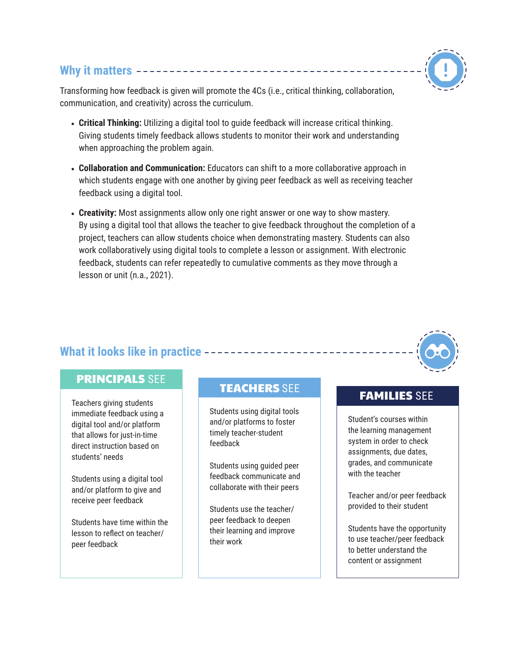## **Why it matters**

Transforming how feedback is given will promote the 4Cs (i.e., critical thinking, collaboration, communication, and creativity) across the curriculum.

- **Critical Thinking:** Utilizing a digital tool to guide feedback will increase critical thinking. Giving students timely feedback allows students to monitor their work and understanding when approaching the problem again.
- **Collaboration and Communication:** Educators can shift to a more collaborative approach in which students engage with one another by giving peer feedback as well as receiving teacher feedback using a digital tool.
- **Creativity:** Most assignments allow only one right answer or one way to show mastery. By using a digital tool that allows the teacher to give feedback throughout the completion of a project, teachers can allow students choice when demonstrating mastery. Students can also work collaboratively using digital tools to complete a lesson or assignment. With electronic feedback, students can refer repeatedly to cumulative comments as they move through a lesson or unit (n.a., 2021).

## **What it looks like in practice**

## PRINCIPALS SEE

Teachers giving students immediate feedback using a digital tool and/or platform that allows for just-in-time direct instruction based on students' needs

Students using a digital tool and/or platform to give and receive peer feedback

Students have time within the lesson to reflect on teacher/ peer feedback

# TEACHERS SEE TEAMILIES SEE

Students using digital tools and/or platforms to foster timely teacher-student feedback

Students using guided peer feedback communicate and collaborate with their peers

Students use the teacher/ peer feedback to deepen their learning and improve their work

Student's courses within the learning management system in order to check assignments, due dates, grades, and communicate with the teacher

Teacher and/or peer feedback provided to their student

Students have the opportunity to use teacher/peer feedback to better understand the content or assignment